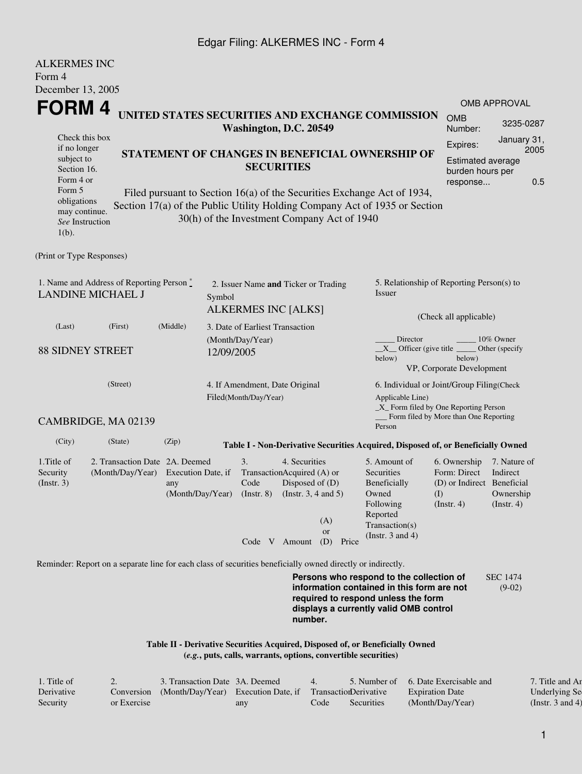## Edgar Filing: ALKERMES INC - Form 4

| <b>ALKERMES INC</b><br>Form 4                                         |                                                                                                             |                                                                      |            |                                                             |                                                                                                                                                                                                                  |                                                            |       |                                                                                                                               |                                                                                  |                                                           |  |
|-----------------------------------------------------------------------|-------------------------------------------------------------------------------------------------------------|----------------------------------------------------------------------|------------|-------------------------------------------------------------|------------------------------------------------------------------------------------------------------------------------------------------------------------------------------------------------------------------|------------------------------------------------------------|-------|-------------------------------------------------------------------------------------------------------------------------------|----------------------------------------------------------------------------------|-----------------------------------------------------------|--|
| December 13, 2005<br>FORM 4                                           |                                                                                                             |                                                                      |            |                                                             |                                                                                                                                                                                                                  |                                                            |       |                                                                                                                               |                                                                                  | <b>OMB APPROVAL</b>                                       |  |
| Check this box                                                        | UNITED STATES SECURITIES AND EXCHANGE COMMISSION<br>Washington, D.C. 20549                                  |                                                                      |            |                                                             |                                                                                                                                                                                                                  |                                                            |       |                                                                                                                               | <b>OMB</b><br>Number:                                                            | 3235-0287<br>January 31,                                  |  |
| if no longer<br>subject to<br>Section 16.<br>Form 4 or                |                                                                                                             | STATEMENT OF CHANGES IN BENEFICIAL OWNERSHIP OF<br><b>SECURITIES</b> |            |                                                             |                                                                                                                                                                                                                  |                                                            |       |                                                                                                                               |                                                                                  |                                                           |  |
| Form 5<br>obligations<br>may continue.<br>See Instruction<br>$1(b)$ . |                                                                                                             |                                                                      |            |                                                             | response<br>Filed pursuant to Section 16(a) of the Securities Exchange Act of 1934,<br>Section 17(a) of the Public Utility Holding Company Act of 1935 or Section<br>30(h) of the Investment Company Act of 1940 |                                                            |       |                                                                                                                               |                                                                                  |                                                           |  |
| (Print or Type Responses)                                             |                                                                                                             |                                                                      |            |                                                             |                                                                                                                                                                                                                  |                                                            |       |                                                                                                                               |                                                                                  |                                                           |  |
| 1. Name and Address of Reporting Person*<br><b>LANDINE MICHAEL J</b>  | 2. Issuer Name and Ticker or Trading<br>Symbol<br><b>ALKERMES INC [ALKS]</b>                                |                                                                      |            |                                                             |                                                                                                                                                                                                                  | 5. Relationship of Reporting Person(s) to<br><b>Issuer</b> |       |                                                                                                                               |                                                                                  |                                                           |  |
| (Last)                                                                | (First)                                                                                                     | (Middle)                                                             |            | 3. Date of Earliest Transaction                             |                                                                                                                                                                                                                  |                                                            |       | (Check all applicable)                                                                                                        |                                                                                  |                                                           |  |
| <b>88 SIDNEY STREET</b>                                               |                                                                                                             |                                                                      | 12/09/2005 | (Month/Day/Year)                                            |                                                                                                                                                                                                                  |                                                            |       | Director<br>$X$ Officer (give title $\overline{\phantom{a}}$<br>below)                                                        | below)<br>VP, Corporate Development                                              | 10% Owner<br>Other (specify                               |  |
|                                                                       | 4. If Amendment, Date Original<br>Filed(Month/Day/Year)                                                     |                                                                      |            |                                                             | 6. Individual or Joint/Group Filing(Check<br>Applicable Line)<br>_X_ Form filed by One Reporting Person                                                                                                          |                                                            |       |                                                                                                                               |                                                                                  |                                                           |  |
|                                                                       | CAMBRIDGE, MA 02139                                                                                         |                                                                      |            |                                                             |                                                                                                                                                                                                                  |                                                            |       | Person                                                                                                                        | Form filed by More than One Reporting                                            |                                                           |  |
| (City)                                                                | (State)                                                                                                     | (Zip)                                                                |            |                                                             |                                                                                                                                                                                                                  |                                                            |       | Table I - Non-Derivative Securities Acquired, Disposed of, or Beneficially Owned                                              |                                                                                  |                                                           |  |
| 1. Title of<br>Security<br>(Insert. 3)                                | 2. Transaction Date 2A. Deemed<br>(Month/Day/Year)                                                          | Execution Date, if<br>any<br>(Month/Day/Year)                        |            | 3.<br>TransactionAcquired (A) or<br>Code<br>$($ Instr. $8)$ | 4. Securities<br>Disposed of (D)<br>(Instr. $3, 4$ and $5$ )                                                                                                                                                     | (A)<br><b>or</b>                                           |       | 5. Amount of<br>Securities<br>Beneficially<br>Owned<br>Following<br>Reported<br>Transaction(s)<br>(Instr. $3$ and $4$ )       | 6. Ownership<br>Form: Direct<br>(D) or Indirect Beneficial<br>(I)<br>(Insert. 4) | 7. Nature of<br>Indirect<br>Ownership<br>$($ Instr. 4 $)$ |  |
|                                                                       |                                                                                                             |                                                                      |            | Code V Amount                                               |                                                                                                                                                                                                                  | (D)                                                        | Price |                                                                                                                               |                                                                                  |                                                           |  |
|                                                                       | Reminder: Report on a separate line for each class of securities beneficially owned directly or indirectly. |                                                                      |            |                                                             |                                                                                                                                                                                                                  |                                                            |       |                                                                                                                               |                                                                                  |                                                           |  |
|                                                                       |                                                                                                             |                                                                      |            |                                                             |                                                                                                                                                                                                                  |                                                            |       | Persons who respond to the collection of<br>information contained in this form are not<br>required to respond unless the form |                                                                                  | <b>SEC 1474</b><br>$(9-02)$                               |  |

**Table II - Derivative Securities Acquired, Disposed of, or Beneficially Owned (***e.g.***, puts, calls, warrants, options, convertible securities)**

| 1. Title of |             | 3. Transaction Date 3A. Deemed                                        |     | 4.   |            | 5. Number of 6. Date Exercisable and | 7. Title and An  |
|-------------|-------------|-----------------------------------------------------------------------|-----|------|------------|--------------------------------------|------------------|
| Derivative  |             | Conversion (Month/Day/Year) Execution Date, if Transaction Derivative |     |      |            | <b>Expiration Date</b>               | Underlying Se    |
| Security    | or Exercise |                                                                       | any | code | Securities | (Month/Day/Year)                     | (Instr. 3 and 4) |

**number.**

**displays a currently valid OMB control**